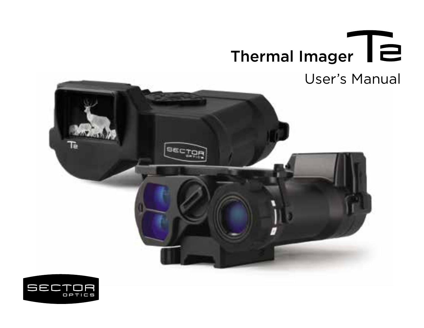

# User's Manual



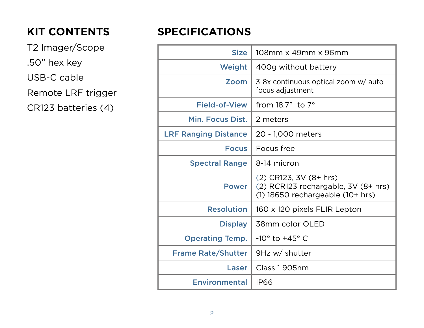## **KIT CONTENTS**

T2 Imager/Scope .50" hex key USB-C cable Remote LRF trigger

CR123 batteries (4)

## **SPECIFICATIONS**

| <b>Size</b>                 | 108mm x 49mm x 96mm                                                                               |  |
|-----------------------------|---------------------------------------------------------------------------------------------------|--|
| Weight                      | 400g without battery                                                                              |  |
| Zoom                        | 3-8x continuous optical zoom w/ auto<br>focus adjustment                                          |  |
| Field-of-View               | from $18.7^\circ$ to $7^\circ$                                                                    |  |
| Min. Focus Dist.            | 2 meters                                                                                          |  |
| <b>LRF Ranging Distance</b> | 20 - 1,000 meters                                                                                 |  |
| <b>Focus</b>                | Focus free                                                                                        |  |
| <b>Spectral Range</b>       | 8-14 micron                                                                                       |  |
| Power                       | (2) CR123, 3V (8+ hrs)<br>(2) RCR123 rechargable, 3V (8+ hrs)<br>(1) 18650 rechargeable (10+ hrs) |  |
| <b>Resolution</b>           | 160 x 120 pixels FLIR Lepton                                                                      |  |
| <b>Display</b>              | 38mm color OLED                                                                                   |  |
| <b>Operating Temp.</b>      | $-10^\circ$ to $+45^\circ$ C                                                                      |  |
| <b>Frame Rate/Shutter</b>   | 9Hz w/ shutter                                                                                    |  |
| Laser                       | Class 1905nm                                                                                      |  |
| Environmental               | <b>IP66</b>                                                                                       |  |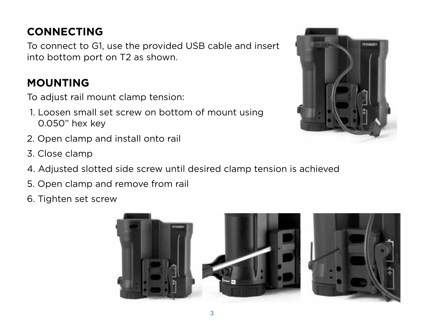## **CONNECTING**

To connect to G1, use the provided USB cable and insert into bottom port on T2 as shown.

## **MOUNTING**

To adjust rail mount clamp tension:

- 1. Loosen small set screw on bottom of mount using 0.050" hex key
- 2. Open clamp and install onto rail
- 3. Close clamp
- 4. Adjusted slotted side screw until desired clamp tension is achieved
- 5. Open clamp and remove from rail
- 6. Tighten set screw





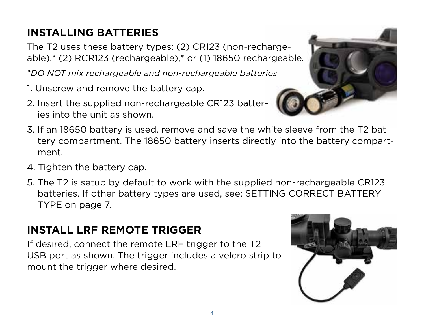## **INSTALLING BATTERIES**

The T2 uses these battery types: (2) CR123 (non-rechargeable),\* (2) RCR123 (rechargeable),\* or (1) 18650 rechargeable.

*\*DO NOT mix rechargeable and non-rechargeable batteries*

- 1. Unscrew and remove the battery cap.
- 2. Insert the supplied non-rechargeable CR123 batteries into the unit as shown.
- 3. If an 18650 battery is used, remove and save the white sleeve from the T2 battery compartment. The 18650 battery inserts directly into the battery compartment.
- 4. Tighten the battery cap.
- 5. The T2 is setup by default to work with the supplied non-rechargeable CR123 batteries. If other battery types are used, see: SETTING CORRECT BATTERY TYPE on page 7.

## **INSTALL LRF REMOTE TRIGGER**

If desired, connect the remote LRF trigger to the T2 USB port as shown. The trigger includes a velcro strip to mount the trigger where desired.

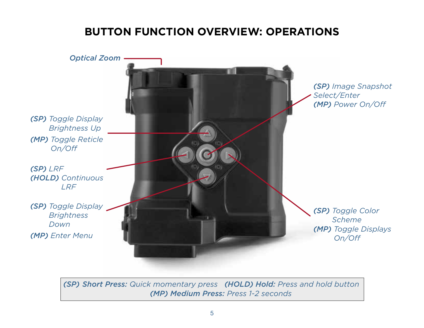### **BUTTON FUNCTION OVERVIEW: OPERATIONS**



*(SP) Short Press: Quick momentary press (HOLD) Hold: Press and hold button (MP) Medium Press: Press 1-2 seconds*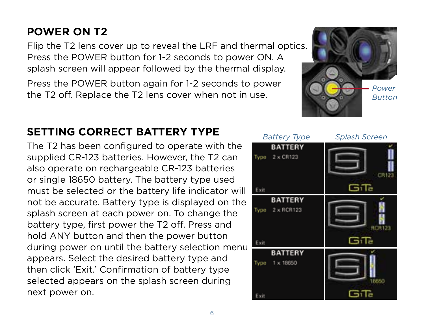## **SETTING CORRECT BATTERY TYPE**

The T2 has been configured to operate with the supplied CR-123 batteries. However, the T2 can also operate on rechargeable CR-123 batteries or single 18650 battery. The battery type used must be selected or the battery life indicator will not be accurate. Battery type is displayed on the splash screen at each power on. To change the battery type, first power the T2 off. Press and hold ANY button and then the power button during power on until the battery selection menu appears. Select the desired battery type and then click 'Exit.' Confirmation of battery type selected appears on the splash screen during next power on.

#### Press the POWER button for 1-2 seconds to power ON. A splash screen will appear followed by the thermal display. Press the POWER button again for 1-2 seconds to power the T2 off. Replace the T2 lens cover when not in use.

**POWER ON T2**



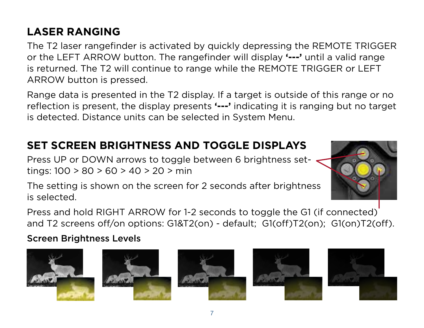## **LASER RANGING**

The T2 laser rangefinder is activated by quickly depressing the REMOTE TRIGGER or the LEFT ARROW button. The rangefinder will display **'---'** until a valid range is returned. The T2 will continue to range while the REMOTE TRIGGER or LEFT ARROW button is pressed.

Range data is presented in the T2 display. If a target is outside of this range or no reflection is present, the display presents **'---'** indicating it is ranging but no target is detected. Distance units can be selected in System Menu.

### **SET SCREEN BRIGHTNESS AND TOGGLE DISPLAYS**

Press UP or DOWN arrows to toggle between 6 brightness settings: 100 > 80 > 60 > 40 > 20 > min



The setting is shown on the screen for 2 seconds after brightness is selected.

Press and hold RIGHT ARROW for 1-2 seconds to toggle the G1 (if connected) and T2 screens off/on options: G1&T2(on) - default; G1(off)T2(on); G1(on)T2(off).

Screen Brightness Levels









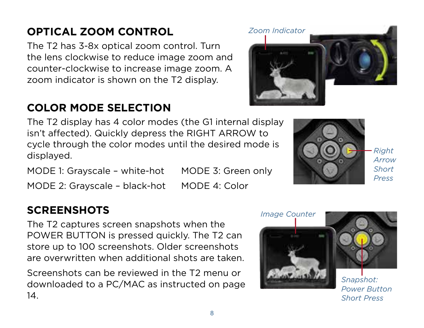## **OPTICAL ZOOM CONTROL**

The T2 has 3-8x optical zoom control. Turn the lens clockwise to reduce image zoom and counter-clockwise to increase image zoom. A zoom indicator is shown on the T2 display.

## **COLOR MODE SELECTION**

The T2 display has 4 color modes (the G1 internal display isn't affected). Quickly depress the RIGHT ARROW to cycle through the color modes until the desired mode is displayed.

MODE 1: Grayscale – white-hot MODE 3: Green only MODE 2: Grayscale - black-hot MODE 4: Color

#### **SCREENSHOTS**

The T2 captures screen snapshots when the POWER BUTTON is pressed quickly. The T2 can store up to 100 screenshots. Older screenshots are overwritten when additional shots are taken.

Screenshots can be reviewed in the T2 menu or downloaded to a PC/MAC as instructed on page 14.

8



*Power Button Short Press*





*Zoom Indicator*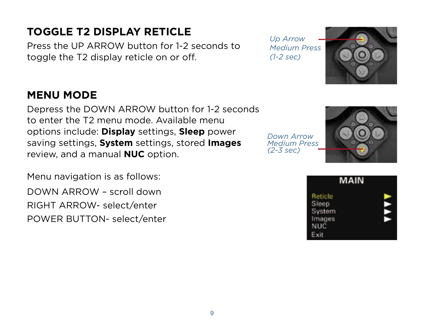## **TOGGLE T2 DISPLAY RETICLE**

Press the UP ARROW button for 1-2 seconds to toggle the T2 display reticle on or off.

#### **MENU MODE**

Depress the DOWN ARROW button for 1-2 seconds to enter the T2 menu mode. Available menu options include: **Display** settings, **Sleep** power saving settings, **System** settings, stored **Images** review, and a manual **NUC** option.

Menu navigation is as follows: DOWN ARROW – scroll down RIGHT ARROW- select/enter POWER BUTTON- select/enter *Up Arrow Medium Press (1-2 sec)*





|                                                            | MAIN |  |
|------------------------------------------------------------|------|--|
| Reticle<br>Sleep<br>System<br>Images<br><b>NUC</b><br>Exit |      |  |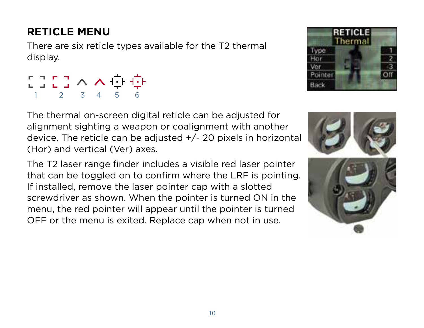## **RETICLE MENU**

There are six reticle types available for the T2 thermal display.

| 2020へへ中央    |  |  |
|-------------|--|--|
| 1 2 3 4 5 6 |  |  |

The thermal on-screen digital reticle can be adjusted for alignment sighting a weapon or coalignment with another device. The reticle can be adjusted +/- 20 pixels in horizontal (Hor) and vertical (Ver) axes.

The T2 laser range finder includes a visible red laser pointer that can be toggled on to confirm where the LRF is pointing. If installed, remove the laser pointer cap with a slotted screwdriver as shown. When the pointer is turned ON in the menu, the red pointer will appear until the pointer is turned OFF or the menu is exited. Replace cap when not in use.



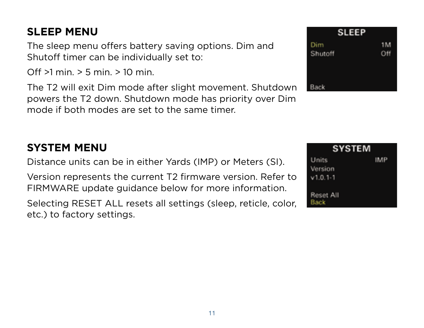### **SLEEP MENU**

The sleep menu offers battery saving options. Dim and Shutoff timer can be individually set to:

Off  $>1$  min.  $> 5$  min.  $> 10$  min.

The T2 will exit Dim mode after slight movement. Shutdown powers the T2 down. Shutdown mode has priority over Dim mode if both modes are set to the same timer.

#### **SYSTEM MENU**

Distance units can be in either Yards (IMP) or Meters (SI).

Version represents the current T2 firmware version. Refer to FIRMWARE update guidance below for more information.

Selecting RESET ALL resets all settings (sleep, reticle, color, etc.) to factory settings.



| <b>SYSTEM</b> |     |  |  |  |
|---------------|-----|--|--|--|
| Units         | IMP |  |  |  |
| Version       |     |  |  |  |
| $v1.0.1 - 1$  |     |  |  |  |
| Reset All     |     |  |  |  |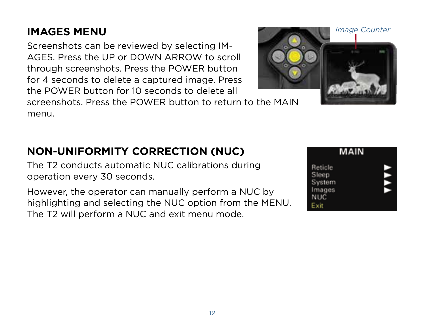## **IMAGES MENU**

Screenshots can be reviewed by selecting IM-AGES. Press the UP or DOWN ARROW to scroll through screenshots. Press the POWER button for 4 seconds to delete a captured image. Press the POWER button for 10 seconds to delete all

#### screenshots. Press the POWER button to return to the MAIN menu.

## **NON-UNIFORMITY CORRECTION (NUC)**

The T2 conducts automatic NUC calibrations during operation every 30 seconds.

However, the operator can manually perform a NUC by highlighting and selecting the NUC option from the MENU. The T2 will perform a NUC and exit menu mode.

#### MAIN Reticle Sleen Svstem Images **NUC** Exit

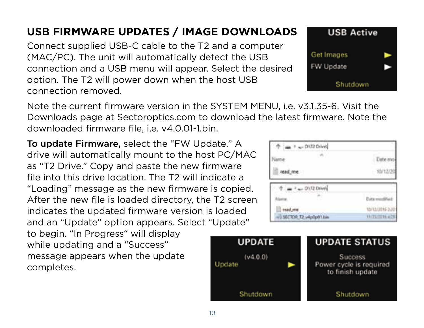## **USB FIRMWARE UPDATES / IMAGE DOWNLOADS**

Connect supplied USB-C cable to the T2 and a computer (MAC/PC). The unit will automatically detect the USB connection and a USB menu will appear. Select the desired option. The T2 will power down when the host USB connection removed.



Note the current firmware version in the SYSTEM MENU, i.e. v3.1.35-6. Visit the Downloads page at Sectoroptics.com to download the latest firmware. Note the downloaded firmware file, i.e. v4.0.01-1.bin.

To update Firmware, select the "FW Update." A drive will automatically mount to the host PC/MAC as "T2 Drive." Copy and paste the new firmware file into this drive location. The T2 will indicate a "Loading" message as the new firmware is copied. After the new file is loaded directory, the T2 screen indicates the updated firmware version is loaded and an "Update" option appears. Select "Update"

to begin. "In Progress" will display while updating and a "Success" message appears when the update completes.

|                           | ×.            |
|---------------------------|---------------|
| ad, me                    |               |
|                           |               |
|                           |               |
|                           | 13/2          |
| 1 SECTOR T2 wkollport him | ENTWORTH AIDS |

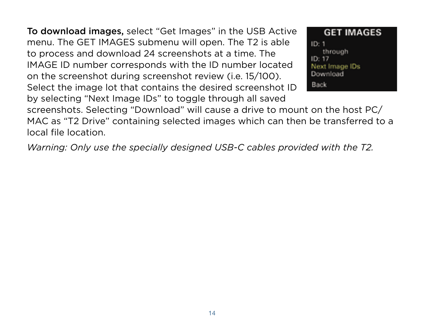To download images, select "Get Images" in the USB Active menu. The GET IMAGES submenu will open. The T2 is able to process and download 24 screenshots at a time. The IMAGE ID number corresponds with the ID number located on the screenshot during screenshot review (i.e. 15/100). Select the image lot that contains the desired screenshot ID by selecting "Next Image IDs" to toggle through all saved

**GET IMAGES**  $ID: 1$ through  $ID: 17$ Next Image IDs Download Back

screenshots. Selecting "Download" will cause a drive to mount on the host PC/ MAC as "T2 Drive" containing selected images which can then be transferred to a local file location.

*Warning: Only use the specially designed USB-C cables provided with the T2.*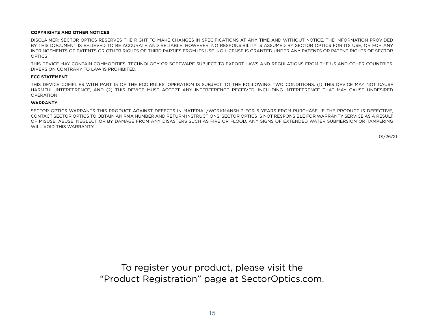#### **COPYRIGHTS AND OTHER NOTICES**

DISCLAIMER: SECTOR OPTICS RESERVES THE RIGHT TO MAKE CHANGES IN SPECIFICATIONS AT ANY TIME AND WITHOUT NOTICE. THE INFORMATION PROVIDED BY THIS DOCUMENT IS BELIEVED TO BE ACCURATE AND RELIABLE. HOWEVER, NO RESPONSIBILITY IS ASSUMED BY SECTOR OPTICS FOR ITS USE; OR FOR ANY INFRINGEMENTS OF PATENTS OR OTHER RIGHTS OF THIRD PARTIES FROM ITS USE. NO LICENSE IS GRANTED UNDER ANY PATENTS OR PATENT PIGHTS OF SECTOR **OPTICS** 

THIS DEVICE MAY CONTAIN COMMODITIES, TECHNOLOGY OR SOFTWARE SUBJECT TO EXPORT LAWS AND REGULATIONS FROM THE US AND OTHER COUNTRIES. DIVERSION CONTRARY TO LAW IS PROHIBITED.

#### **FCC STATEMENT**

THIS DEVICE COMPLIES WITH PART 15 OF THE FCC RULES. OPERATION IS SUBJECT TO THE FOLLOWING TWO CONDITIONS: (1) THIS DEVICE MAY NOT CAUSE HARMFUL INTERFERENCE, AND (2) THIS DEVICE MUST ACCEPT ANY INTERFERENCE RECEIVED, INCLUDING INTERFERENCE THAT MAY CAUSE UNDESIRED OPERATION.

#### **WARRANTY**

SECTOR OPTICS WARRANTS THIS PRODUCT AGAINST DEFECTS IN MATERIAL/WORKMANSHIP FOR 5 YEARS FROM PURCHASE. IF THE PRODUCT IS DEFECTIVE, CONTACT SECTOR OPTICS TO OBTAIN AN RMA NUMBER AND RETURN INSTRUCTIONS. SECTOR OPTICS IS NOT RESPONSIBLE FOR WARRANTY SERVICE AS A RESULT OF MISUSE, ABUSE, NEGLECT OR BY DAMAGE FROM ANY DISASTERS SUCH AS FIRE OR FLOOD. ANY SIGNS OF EXTENDED WATER SUBMERSION OR TAMPERING WILL VOID THIS WARRANTY.

01/26/21

To register your product, please visit the "Product Registration" page at S[ectorOptics.com.](https://sectoroptics.com)